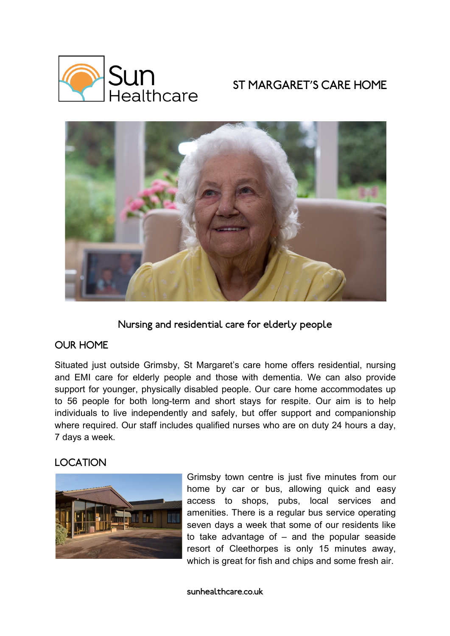

# ST MARGARET'S CARE HOME



Nursing and residential care for elderly people

## OUR HOME

Situated just outside Grimsby, St Margaret's care home offers residential, nursing and EMI care for elderly people and those with dementia. We can also provide support for younger, physically disabled people. Our care home accommodates up to 56 people for both long-term and short stays for respite. Our aim is to help individuals to live independently and safely, but offer support and companionship where required. Our staff includes qualified nurses who are on duty 24 hours a day, 7 days a week.

## LOCATION



Grimsby town centre is just five minutes from our home by car or bus, allowing quick and easy access to shops, pubs, local services and amenities. There is a regular bus service operating seven days a week that some of our residents like to take advantage of  $-$  and the popular seaside resort of Cleethorpes is only 15 minutes away, which is great for fish and chips and some fresh air.

sunhealthcare.co.uk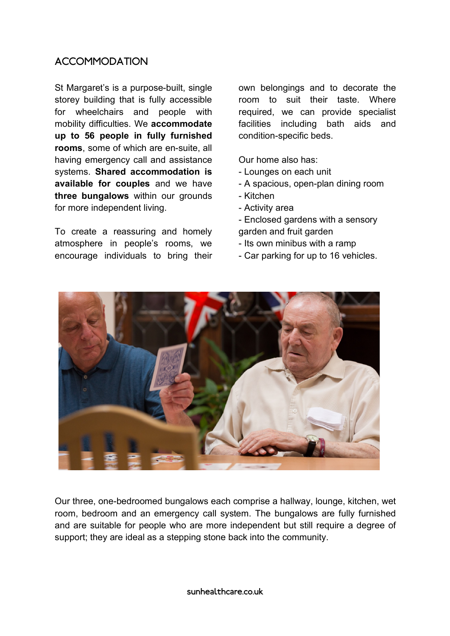## ACCOMMODATION

St Margaret's is a purpose-built, single storey building that is fully accessible for wheelchairs and people with mobility difficulties. We **accommodate up to 56 people in fully furnished rooms**, some of which are en-suite, all having emergency call and assistance systems. **Shared accommodation is available for couples** and we have **three bungalows** within our grounds for more independent living.

To create a reassuring and homely atmosphere in people's rooms, we encourage individuals to bring their

own belongings and to decorate the room to suit their taste. Where required, we can provide specialist facilities including bath aids and condition-specific beds.

Our home also has:

- Lounges on each unit
- A spacious, open-plan dining room
- Kitchen
- Activity area
- Enclosed gardens with a sensory garden and fruit garden
- Its own minibus with a ramp
- Car parking for up to 16 vehicles.



Our three, one-bedroomed bungalows each comprise a hallway, lounge, kitchen, wet room, bedroom and an emergency call system. The bungalows are fully furnished and are suitable for people who are more independent but still require a degree of support; they are ideal as a stepping stone back into the community.

sunhealthcare.co.uk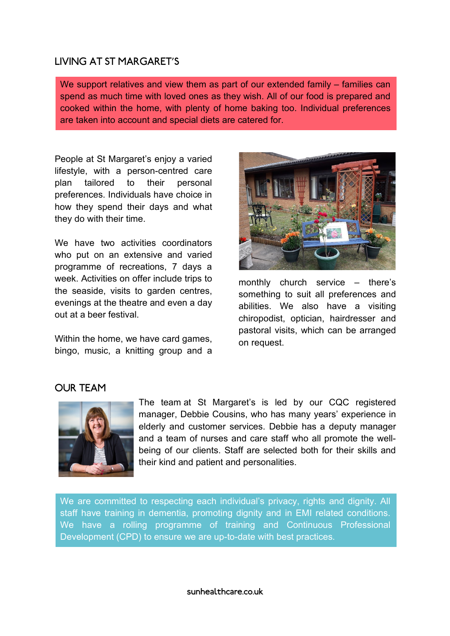### LIVING AT ST MARGARET'S

We support relatives and view them as part of our extended family – families can spend as much time with loved ones as they wish. All of our food is prepared and cooked within the home, with plenty of home baking too. Individual preferences are taken into account and special diets are catered for.

People at St Margaret's enjoy a varied lifestyle, with a person-centred care plan tailored to their personal preferences. Individuals have choice in how they spend their days and what they do with their time.

We have two activities coordinators who put on an extensive and varied programme of recreations, 7 days a week. Activities on offer include trips to the seaside, visits to garden centres, evenings at the theatre and even a day out at a beer festival.

Within the home, we have card games, bingo, music, a knitting group and a



monthly church service – there's something to suit all preferences and abilities. We also have a visiting chiropodist, optician, hairdresser and pastoral visits, which can be arranged on request.

### OUR TEAM



The team at St Margaret's is led by our CQC registered manager, Debbie Cousins, who has many years' experience in elderly and customer services. Debbie has a deputy manager and a team of nurses and care staff who all promote the wellbeing of our clients. Staff are selected both for their skills and their kind and patient and personalities.

We are committed to respecting each individual's privacy, rights and dignity. All staff have training in dementia, promoting dignity and in EMI related conditions. We have a rolling programme of training and Continuous Professional Development (CPD) to ensure we are up-to-date with best practices.